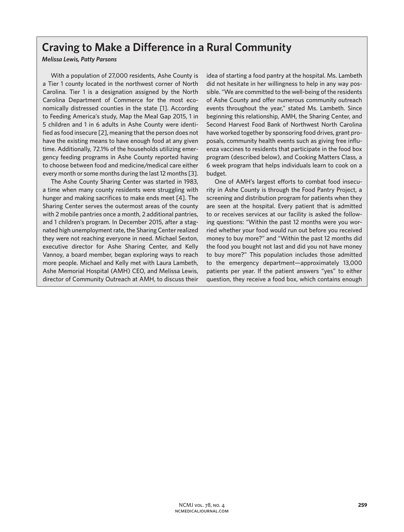# **Craving to Make a Difference in a Rural Community**

## *Melissa Lewis, Patty Parsons*

With a population of 27,000 residents, Ashe County is a Tier 1 county located in the northwest corner of North Carolina. Tier 1 is a designation assigned by the North Carolina Department of Commerce for the most economically distressed counties in the state [1]. According to Feeding America's study, Map the Meal Gap 2015, 1 in 5 children and 1 in 6 adults in Ashe County were identified as food insecure [2], meaning that the person does not have the existing means to have enough food at any given time. Additionally, 72.1% of the households utilizing emergency feeding programs in Ashe County reported having to choose between food and medicine/medical care either every month or some months during the last 12 months [3].

The Ashe County Sharing Center was started in 1983, a time when many county residents were struggling with hunger and making sacrifices to make ends meet [4]. The Sharing Center serves the outermost areas of the county with 2 mobile pantries once a month, 2 additional pantries, and 1 children's program. In December 2015, after a stagnated high unemployment rate, the Sharing Center realized they were not reaching everyone in need. Michael Sexton, executive director for Ashe Sharing Center, and Kelly Vannoy, a board member, began exploring ways to reach more people. Michael and Kelly met with Laura Lambeth, Ashe Memorial Hospital (AMH) CEO, and Melissa Lewis, director of Community Outreach at AMH, to discuss their

idea of starting a food pantry at the hospital. Ms. Lambeth did not hesitate in her willingness to help in any way possible. "We are committed to the well-being of the residents of Ashe County and offer numerous community outreach events throughout the year," stated Ms. Lambeth. Since beginning this relationship, AMH, the Sharing Center, and Second Harvest Food Bank of Northwest North Carolina have worked together by sponsoring food drives, grant proposals, community health events such as giving free influenza vaccines to residents that participate in the food box program (described below), and Cooking Matters Class, a 6 week program that helps individuals learn to cook on a budget.

One of AMH's largest efforts to combat food insecurity in Ashe County is through the Food Pantry Project, a screening and distribution program for patients when they are seen at the hospital. Every patient that is admitted to or receives services at our facility is asked the following questions: "Within the past 12 months were you worried whether your food would run out before you received money to buy more?" and "Within the past 12 months did the food you bought not last and did you not have money to buy more?" This population includes those admitted to the emergency department—approximately 13,000 patients per year. If the patient answers "yes" to either question, they receive a food box, which contains enough